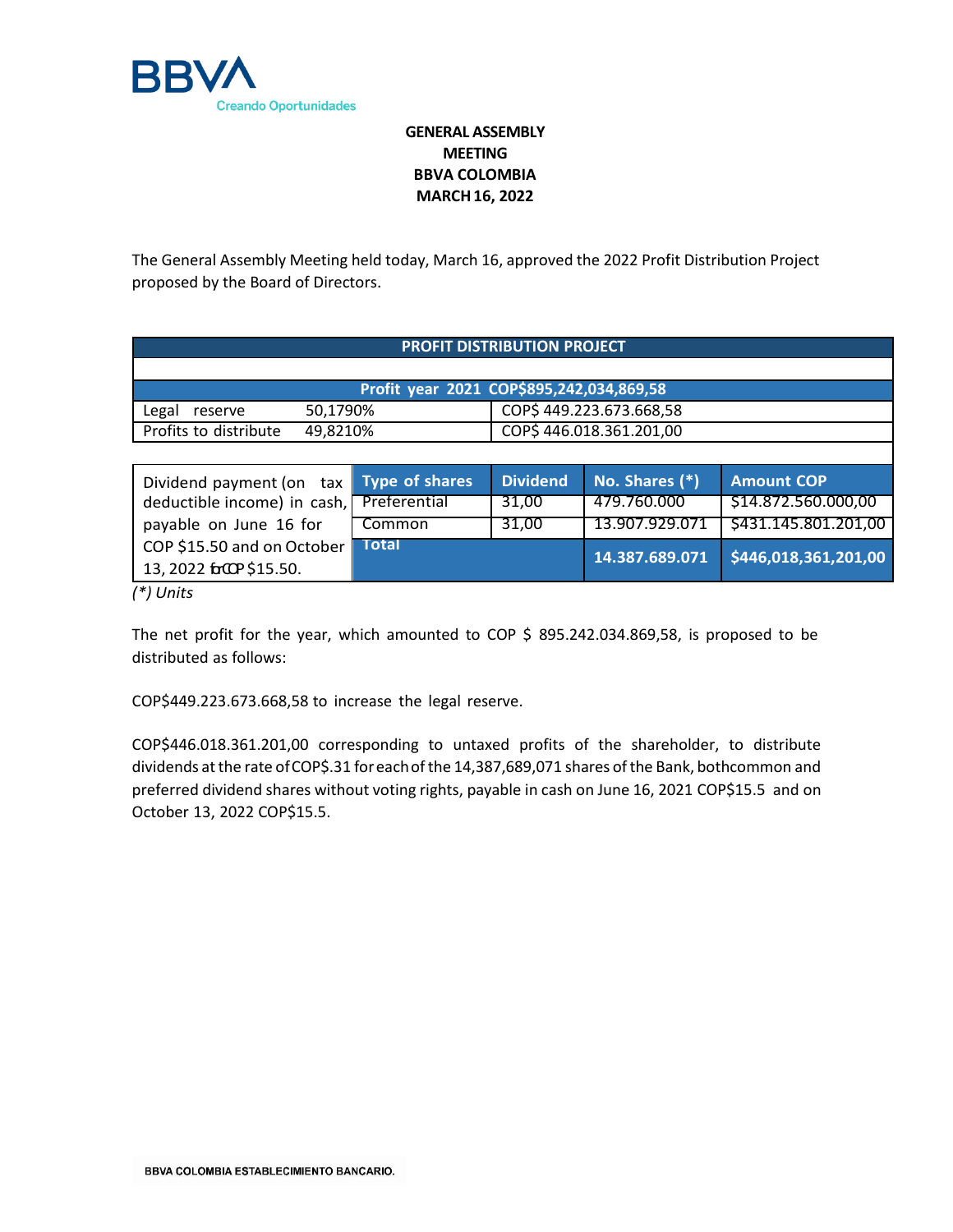

## **GENERAL ASSEMBLY MEETING BBVA COLOMBIA MARCH16, 2022**

The General Assembly Meeting held today, March 16, approved the 2022 Profit Distribution Project proposed by the Board of Directors.

| PROFIT DISTRIBUTION PROJECT                                                                                                                                                                                                                                                                                                                                                                                                 |                       |                         |                |                      |  |
|-----------------------------------------------------------------------------------------------------------------------------------------------------------------------------------------------------------------------------------------------------------------------------------------------------------------------------------------------------------------------------------------------------------------------------|-----------------------|-------------------------|----------------|----------------------|--|
|                                                                                                                                                                                                                                                                                                                                                                                                                             |                       |                         |                |                      |  |
| Profit year 2021 COP\$895,242,034,869,58                                                                                                                                                                                                                                                                                                                                                                                    |                       |                         |                |                      |  |
| 50,1790%<br>Legal<br>reserve                                                                                                                                                                                                                                                                                                                                                                                                |                       | COP\$449.223.673.668,58 |                |                      |  |
| Profits to distribute<br>49,8210%                                                                                                                                                                                                                                                                                                                                                                                           |                       | COP\$446.018.361.201,00 |                |                      |  |
|                                                                                                                                                                                                                                                                                                                                                                                                                             |                       |                         |                |                      |  |
| Dividend payment (on tax                                                                                                                                                                                                                                                                                                                                                                                                    | <b>Type of shares</b> | <b>Dividend</b>         | No. Shares (*) | <b>Amount COP</b>    |  |
| deductible income) in cash,                                                                                                                                                                                                                                                                                                                                                                                                 | Preferential          | 31,00                   | 479.760.000    | \$14.872.560.000,00  |  |
| payable on June 16 for                                                                                                                                                                                                                                                                                                                                                                                                      | Common                | 31,00                   | 13.907.929.071 | \$431.145.801.201,00 |  |
| COP \$15.50 and on October<br>Total<br>$\overline{10}$ $\overline{0}$ $\overline{0}$ $\overline{0}$ $\overline{0}$ $\overline{0}$ $\overline{0}$ $\overline{0}$ $\overline{0}$ $\overline{0}$ $\overline{0}$ $\overline{0}$ $\overline{0}$ $\overline{0}$ $\overline{0}$ $\overline{0}$ $\overline{0}$ $\overline{0}$ $\overline{0}$ $\overline{0}$ $\overline{0}$ $\overline{0}$ $\overline{0}$ $\overline{0}$ $\overline$ |                       |                         | 14.387.689.071 | \$446,018,361,201,00 |  |

*(\*) Units*

13, 2022 for \$15.50.

The net profit for the year, which amounted to COP \$ 895.242.034.869,58, is proposed to be distributed as follows:

COP\$449.223.673.668,58 to increase the legal reserve.

COP\$446.018.361.201,00 corresponding to untaxed profits of the shareholder, to distribute dividends at the rate of COP\$.31 for each of the 14,387,689,071 shares of the Bank, bothcommon and preferred dividend shares without voting rights, payable in cash on June 16, 2021 COP\$15.5 and on October 13, 2022 COP\$15.5.